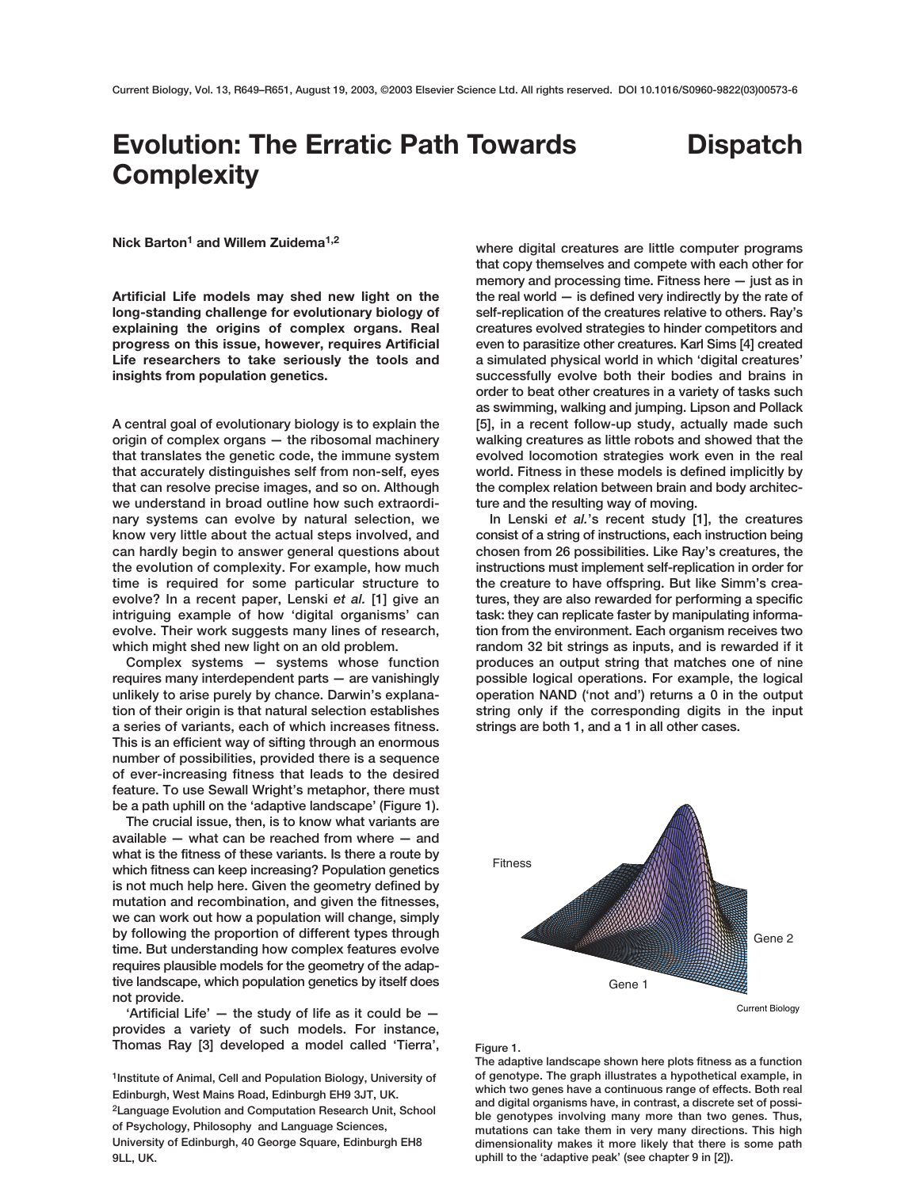## **Evolution: The Erratic Path Towards Complexity**

## **Dispatch**

**Nick Barton1 and Willem Zuidema1,2**

**Artificial Life models may shed new light on the long-standing challenge for evolutionary biology of explaining the origins of complex organs. Real progress on this issue, however, requires Artificial Life researchers to take seriously the tools and insights from population genetics.**

**A central goal of evolutionary biology is to explain the origin of complex organs — the ribosomal machinery that translates the genetic code, the immune system that accurately distinguishes self from non-self, eyes that can resolve precise images, and so on. Although we understand in broad outline how such extraordinary systems can evolve by natural selection, we know very little about the actual steps involved, and can hardly begin to answer general questions about the evolution of complexity. For example, how much time is required for some particular structure to evolve? In a recent paper, Lenski** *et al.* **[1] give an intriguing example of how 'digital organisms' can evolve. Their work suggests many lines of research, which might shed new light on an old problem.**

**Complex systems — systems whose function requires many interdependent parts — are vanishingly unlikely to arise purely by chance. Darwin's explanation of their origin is that natural selection establishes a series of variants, each of which increases fitness. This is an efficient way of sifting through an enormous number of possibilities, provided there is a sequence of ever-increasing fitness that leads to the desired feature. To use Sewall Wright's metaphor, there must be a path uphill on the 'adaptive landscape' (Figure 1).**

**The crucial issue, then, is to know what variants are available — what can be reached from where — and what is the fitness of these variants. Is there a route by which fitness can keep increasing? Population genetics is not much help here. Given the geometry defined by mutation and recombination, and given the fitnesses, we can work out how a population will change, simply by following the proportion of different types through time. But understanding how complex features evolve requires plausible models for the geometry of the adaptive landscape, which population genetics by itself does not provide.** 

**'Artificial Life' — the study of life as it could be provides a variety of such models. For instance, Thomas Ray [3] developed a model called 'Tierra',**

**1Institute of Animal, Cell and Population Biology, University of Edinburgh, West Mains Road, Edinburgh EH9 3JT, UK. 2Language Evolution and Computation Research Unit, School of Psychology, Philosophy and Language Sciences, University of Edinburgh, 40 George Square, Edinburgh EH8 9LL, UK.**

**where digital creatures are little computer programs that copy themselves and compete with each other for memory and processing time. Fitness here — just as in the real world — is defined very indirectly by the rate of self-replication of the creatures relative to others. Ray's creatures evolved strategies to hinder competitors and even to parasitize other creatures. Karl Sims [4] created a simulated physical world in which 'digital creatures' successfully evolve both their bodies and brains in order to beat other creatures in a variety of tasks such as swimming, walking and jumping. Lipson and Pollack [5], in a recent follow-up study, actually made such walking creatures as little robots and showed that the evolved locomotion strategies work even in the real world. Fitness in these models is defined implicitly by the complex relation between brain and body architecture and the resulting way of moving.**

**In Lenski** *et al.***'s recent study [1], the creatures consist of a string of instructions, each instruction being chosen from 26 possibilities. Like Ray's creatures, the instructions must implement self-replication in order for the creature to have offspring. But like Simm's creatures, they are also rewarded for performing a specific task: they can replicate faster by manipulating information from the environment. Each organism receives two random 32 bit strings as inputs, and is rewarded if it produces an output string that matches one of nine possible logical operations. For example, the logical operation NAND ('not and') returns a 0 in the output string only if the corresponding digits in the input strings are both 1, and a 1 in all other cases.** 



## **Figure 1.**

**The adaptive landscape shown here plots fitness as a function of genotype. The graph illustrates a hypothetical example, in which two genes have a continuous range of effects. Both real and digital organisms have, in contrast, a discrete set of possible genotypes involving many more than two genes. Thus, mutations can take them in very many directions. This high dimensionality makes it more likely that there is some path uphill to the 'adaptive peak' (see chapter 9 in [2]).**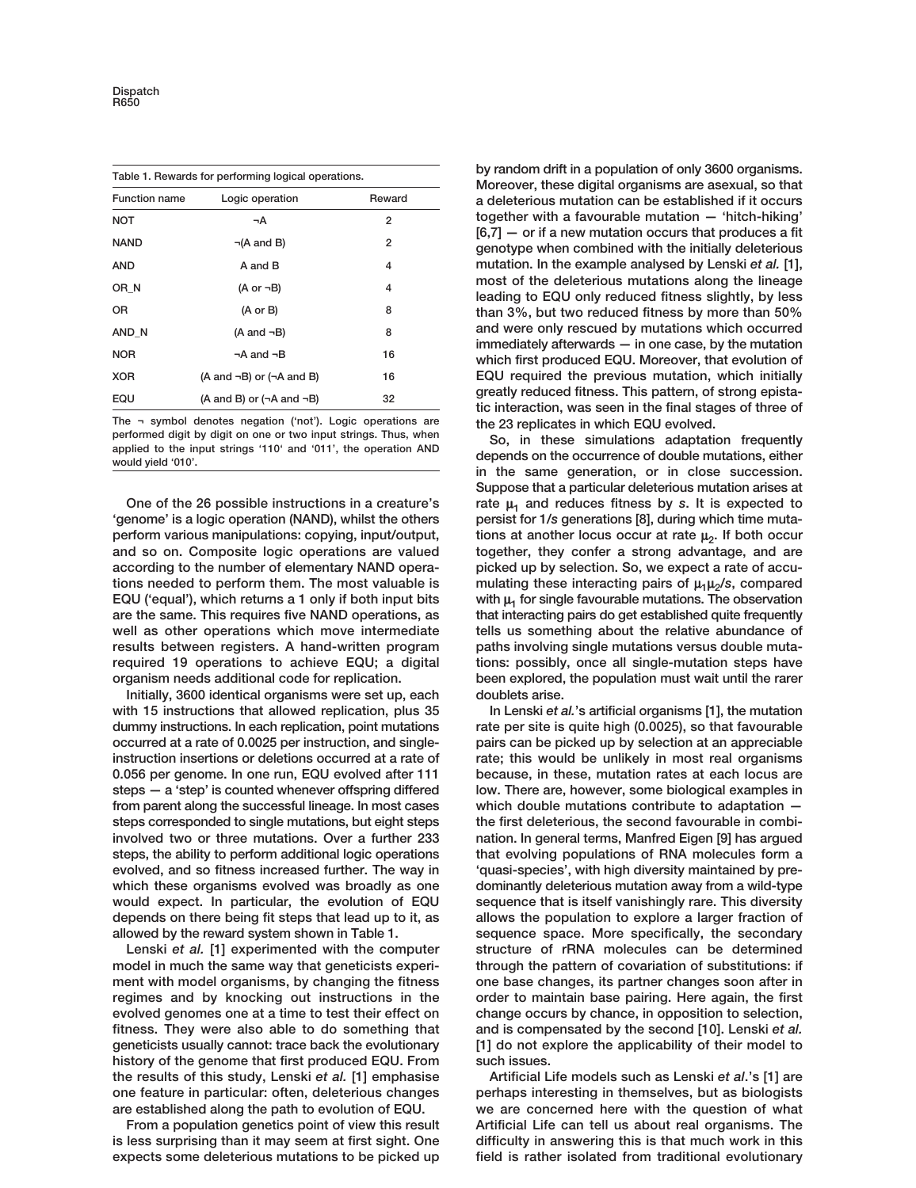| Table 1. Rewards for performing logical operations. |                                                        |                |
|-----------------------------------------------------|--------------------------------------------------------|----------------|
| <b>Function name</b>                                | Logic operation                                        | Reward         |
| <b>NOT</b>                                          | ¬А                                                     | 2              |
| <b>NAND</b>                                         | $\neg(A \text{ and } B)$                               | $\overline{2}$ |
| <b>AND</b>                                          | A and B                                                | 4              |
| OR N                                                | $(A \text{ or } \neg B)$                               | 4              |
| 0R                                                  | (A or B)                                               | 8              |
| AND N                                               | $(A \text{ and } \neg B)$                              | 8              |
| <b>NOR</b>                                          | $\neg A$ and $\neg B$                                  | 16             |
| <b>XOR</b>                                          | $(A \text{ and } \neg B)$ or $(\neg A \text{ and } B)$ | 16             |
| EQU                                                 | (A and B) or $(\neg A$ and $\neg B)$                   | 32             |
|                                                     |                                                        |                |

**The ¬ symbol denotes negation ('not'). Logic operations are performed digit by digit on one or two input strings. Thus, when applied to the input strings '110' and '011', the operation AND would yield '010'.**

**One of the 26 possible instructions in a creature's 'genome' is a logic operation (NAND), whilst the others perform various manipulations: copying, input/output, and so on. Composite logic operations are valued according to the number of elementary NAND operations needed to perform them. The most valuable is EQU ('equal'), which returns a 1 only if both input bits are the same. This requires five NAND operations, as well as other operations which move intermediate results between registers. A hand-written program required 19 operations to achieve EQU; a digital organism needs additional code for replication.**

**Initially, 3600 identical organisms were set up, each with 15 instructions that allowed replication, plus 35 dummy instructions. In each replication, point mutations occurred at a rate of 0.0025 per instruction, and singleinstruction insertions or deletions occurred at a rate of 0.056 per genome. In one run, EQU evolved after 111 steps — a 'step' is counted whenever offspring differed from parent along the successful lineage. In most cases steps corresponded to single mutations, but eight steps involved two or three mutations. Over a further 233 steps, the ability to perform additional logic operations evolved, and so fitness increased further. The way in which these organisms evolved was broadly as one would expect. In particular, the evolution of EQU depends on there being fit steps that lead up to it, as allowed by the reward system shown in Table 1.**

**Lenski** *et al.* **[1] experimented with the computer model in much the same way that geneticists experiment with model organisms, by changing the fitness regimes and by knocking out instructions in the evolved genomes one at a time to test their effect on fitness. They were also able to do something that geneticists usually cannot: trace back the evolutionary history of the genome that first produced EQU. From the results of this study, Lenski** *et al.* **[1] emphasise one feature in particular: often, deleterious changes are established along the path to evolution of EQU.**

**From a population genetics point of view this result is less surprising than it may seem at first sight. One expects some deleterious mutations to be picked up**

**by random drift in a population of only 3600 organisms. Moreover, these digital organisms are asexual, so that a deleterious mutation can be established if it occurs together with a favourable mutation — 'hitch-hiking' [6,7] — or if a new mutation occurs that produces a fit genotype when combined with the initially deleterious** mutation. In the example analysed by Lenski *et al.* [1], **most of the deleterious mutations along the lineage leading to EQU only reduced fitness slightly, by less than 3%, but two reduced fitness by more than 50% and were only rescued by mutations which occurred immediately afterwards — in one case, by the mutation which first produced EQU. Moreover, that evolution of EQU required the previous mutation, which initially greatly reduced fitness. This pattern, of strong epistatic interaction, was seen in the final stages of three of the 23 replicates in which EQU evolved.**

**So, in these simulations adaptation frequently depends on the occurrence of double mutations, either in the same generation, or in close succession. Suppose that a particular deleterious mutation arises at** rate  $\mu_1$  and reduces fitness by *s*. It is expected to **persist for 1/***s* **generations [8], during which time mutations at another locus occur at rate** µ**2. If both occur together, they confer a strong advantage, and are picked up by selection. So, we expect a rate of accumulating these interacting pairs of** µ**1**µ**2/***s***, compared with** µ**<sup>1</sup> for single favourable mutations. The observation that interacting pairs do get established quite frequently tells us something about the relative abundance of paths involving single mutations versus double mutations: possibly, once all single-mutation steps have been explored, the population must wait until the rarer doublets arise.** 

**In Lenski** *et al.***'s artificial organisms [1], the mutation rate per site is quite high (0.0025), so that favourable pairs can be picked up by selection at an appreciable rate; this would be unlikely in most real organisms because, in these, mutation rates at each locus are low. There are, however, some biological examples in which double mutations contribute to adaptation the first deleterious, the second favourable in combination. In general terms, Manfred Eigen [9] has argued that evolving populations of RNA molecules form a 'quasi-species', with high diversity maintained by predominantly deleterious mutation away from a wild-type sequence that is itself vanishingly rare. This diversity allows the population to explore a larger fraction of sequence space. More specifically, the secondary structure of rRNA molecules can be determined through the pattern of covariation of substitutions: if one base changes, its partner changes soon after in order to maintain base pairing. Here again, the first change occurs by chance, in opposition to selection,** and is compensated by the second [10]. Lenski et al. **[1] do not explore the applicability of their model to such issues.**

**Artificial Life models such as Lenski** *et al***.'s [1] are perhaps interesting in themselves, but as biologists we are concerned here with the question of what Artificial Life can tell us about real organisms. The difficulty in answering this is that much work in this field is rather isolated from traditional evolutionary**